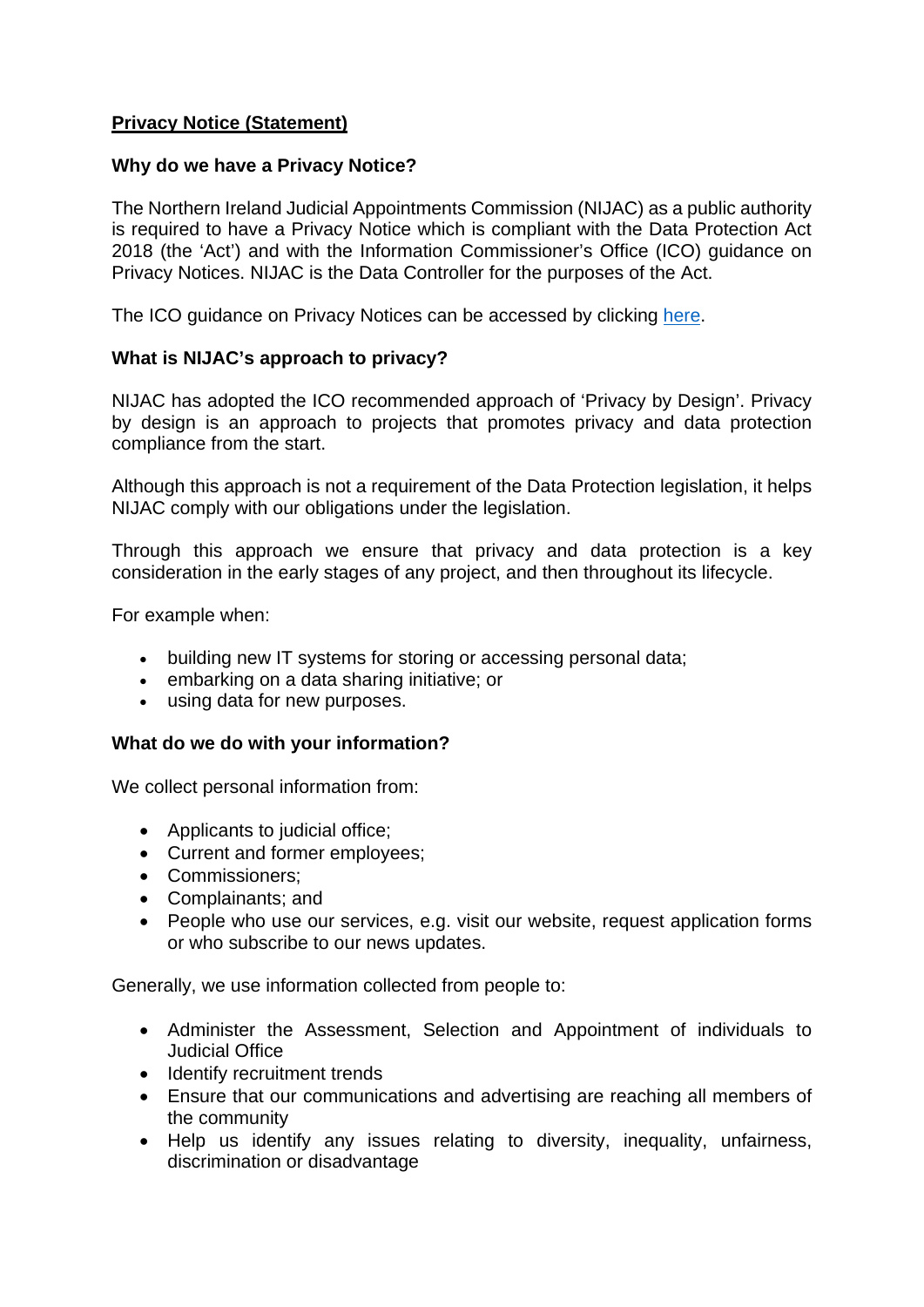## **Privacy Notice (Statement)**

### **Why do we have a Privacy Notice?**

The Northern Ireland Judicial Appointments Commission (NIJAC) as a public authority is required to have a Privacy Notice which is compliant with the Data Protection Act 2018 (the 'Act') and with the Information Commissioner's Office (ICO) guidance on Privacy Notices. NIJAC is the Data Controller for the purposes of the Act.

The ICO guidance on Privacy Notices can be accessed by clicking [here.](https://ico.org.uk/for-organisations/guide-to-data-protection-404/) 

## **What is NIJAC's approach to privacy?**

NIJAC has adopted the ICO recommended approach of 'Privacy by Design'. Privacy by design is an approach to projects that promotes privacy and data protection compliance from the start.

Although this approach is not a requirement of the Data Protection legislation, it helps NIJAC comply with our obligations under the legislation.

Through this approach we ensure that privacy and data protection is a key consideration in the early stages of any project, and then throughout its lifecycle.

For example when:

- building new IT systems for storing or accessing personal data;
- embarking on a data sharing initiative; or
- using data for new purposes.

## **What do we do with your information?**

We collect personal information from:

- Applicants to judicial office:
- Current and former employees;
- Commissioners:
- Complainants; and
- People who use our services, e.g. visit our website, request application forms or who subscribe to our news updates.

Generally, we use information collected from people to:

- Administer the Assessment, Selection and Appointment of individuals to Judicial Office
- Identify recruitment trends
- Ensure that our communications and advertising are reaching all members of the community
- Help us identify any issues relating to diversity, inequality, unfairness, discrimination or disadvantage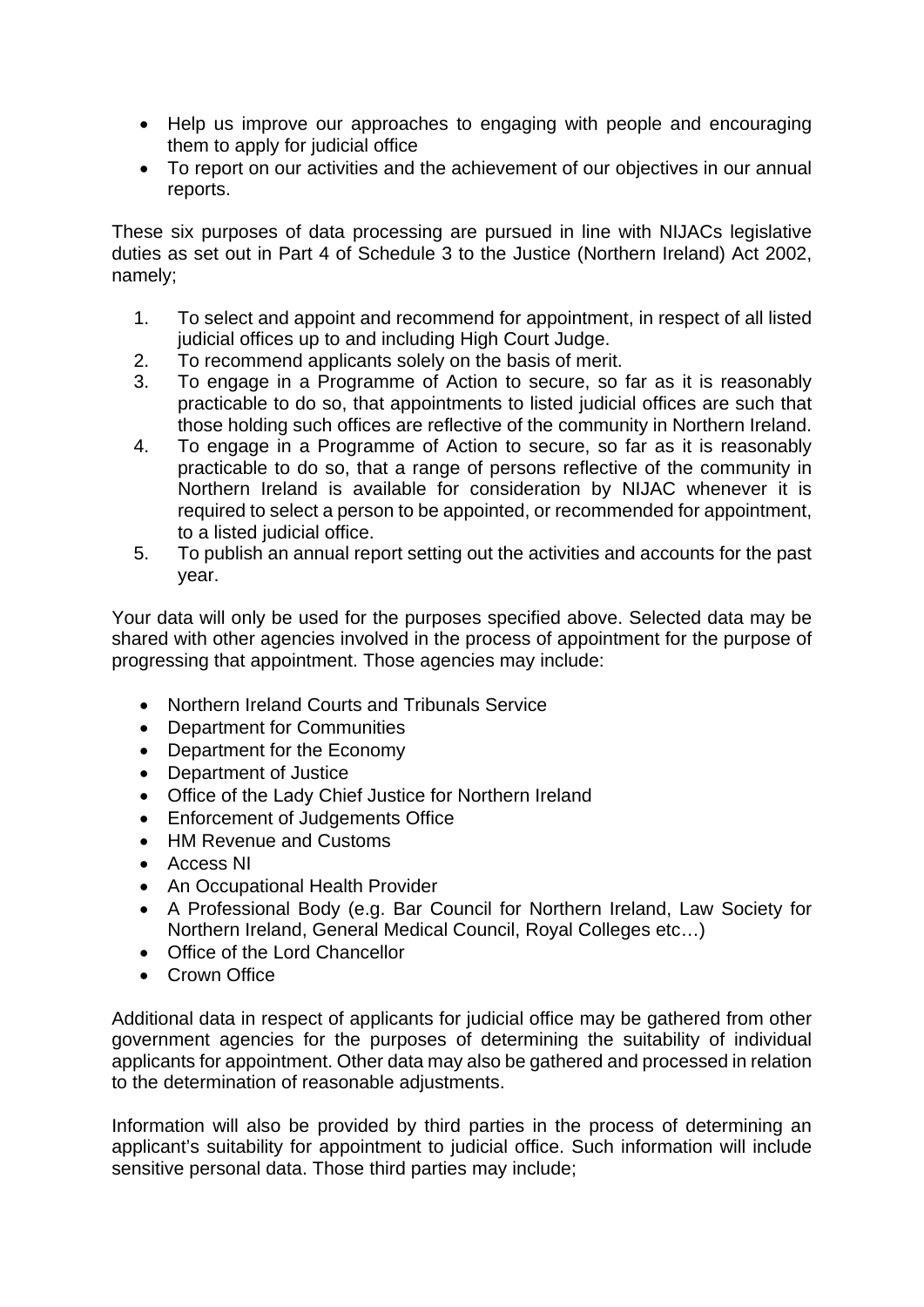- Help us improve our approaches to engaging with people and encouraging them to apply for judicial office
- To report on our activities and the achievement of our objectives in our annual reports.

These six purposes of data processing are pursued in line with NIJACs legislative duties as set out in Part 4 of Schedule 3 to the Justice (Northern Ireland) Act 2002, namely;

- 1. To select and appoint and recommend for appointment, in respect of all listed judicial offices up to and including High Court Judge.
- 2. To recommend applicants solely on the basis of merit.
- 3. To engage in a Programme of Action to secure, so far as it is reasonably practicable to do so, that appointments to listed judicial offices are such that those holding such offices are reflective of the community in Northern Ireland.
- 4. To engage in a Programme of Action to secure, so far as it is reasonably practicable to do so, that a range of persons reflective of the community in Northern Ireland is available for consideration by NIJAC whenever it is required to select a person to be appointed, or recommended for appointment, to a listed judicial office.
- 5. To publish an annual report setting out the activities and accounts for the past year.

Your data will only be used for the purposes specified above. Selected data may be shared with other agencies involved in the process of appointment for the purpose of progressing that appointment. Those agencies may include:

- Northern Ireland Courts and Tribunals Service
- Department for Communities
- Department for the Economy
- Department of Justice
- Office of the Lady Chief Justice for Northern Ireland
- Enforcement of Judgements Office
- HM Revenue and Customs
- Access NI
- An Occupational Health Provider
- A Professional Body (e.g. Bar Council for Northern Ireland, Law Society for Northern Ireland, General Medical Council, Royal Colleges etc…)
- Office of the Lord Chancellor
- Crown Office

Additional data in respect of applicants for judicial office may be gathered from other government agencies for the purposes of determining the suitability of individual applicants for appointment. Other data may also be gathered and processed in relation to the determination of reasonable adjustments.

Information will also be provided by third parties in the process of determining an applicant's suitability for appointment to judicial office. Such information will include sensitive personal data. Those third parties may include;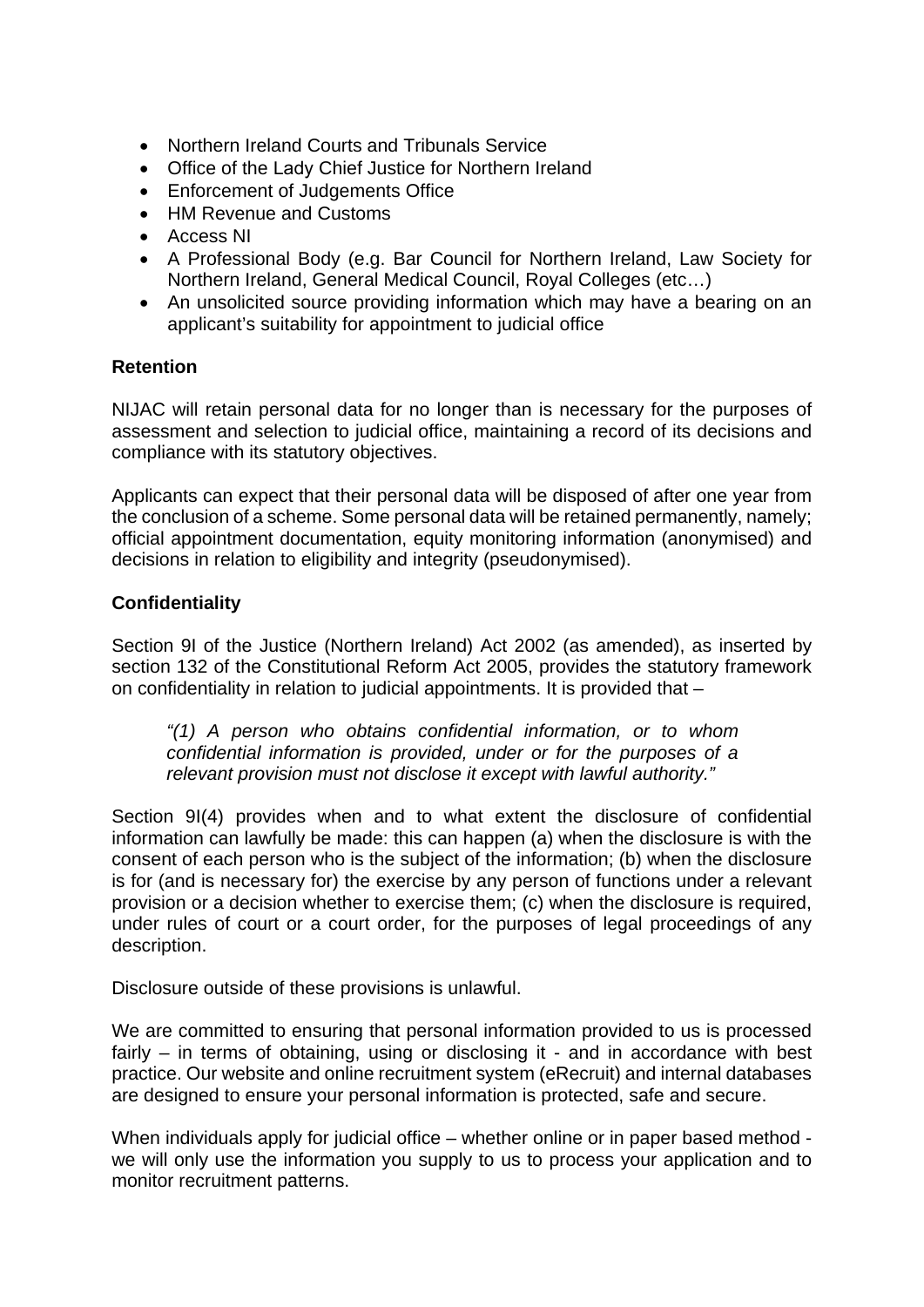- Northern Ireland Courts and Tribunals Service
- Office of the Lady Chief Justice for Northern Ireland
- Enforcement of Judgements Office
- HM Revenue and Customs
- Access NI
- A Professional Body (e.g. Bar Council for Northern Ireland, Law Society for Northern Ireland, General Medical Council, Royal Colleges (etc…)
- An unsolicited source providing information which may have a bearing on an applicant's suitability for appointment to judicial office

# **Retention**

NIJAC will retain personal data for no longer than is necessary for the purposes of assessment and selection to judicial office, maintaining a record of its decisions and compliance with its statutory objectives.

Applicants can expect that their personal data will be disposed of after one year from the conclusion of a scheme. Some personal data will be retained permanently, namely; official appointment documentation, equity monitoring information (anonymised) and decisions in relation to eligibility and integrity (pseudonymised).

# **Confidentiality**

Section 9I of the Justice (Northern Ireland) Act 2002 (as amended), as inserted by section 132 of the Constitutional Reform Act 2005, provides the statutory framework on confidentiality in relation to judicial appointments. It is provided that –

*"(1) A person who obtains confidential information, or to whom confidential information is provided, under or for the purposes of a relevant provision must not disclose it except with lawful authority."* 

Section 9I(4) provides when and to what extent the disclosure of confidential information can lawfully be made: this can happen (a) when the disclosure is with the consent of each person who is the subject of the information; (b) when the disclosure is for (and is necessary for) the exercise by any person of functions under a relevant provision or a decision whether to exercise them; (c) when the disclosure is required, under rules of court or a court order, for the purposes of legal proceedings of any description.

Disclosure outside of these provisions is unlawful.

We are committed to ensuring that personal information provided to us is processed fairly – in terms of obtaining, using or disclosing it - and in accordance with best practice. Our website and online recruitment system (eRecruit) and internal databases are designed to ensure your personal information is protected, safe and secure.

When individuals apply for judicial office – whether online or in paper based method we will only use the information you supply to us to process your application and to monitor recruitment patterns.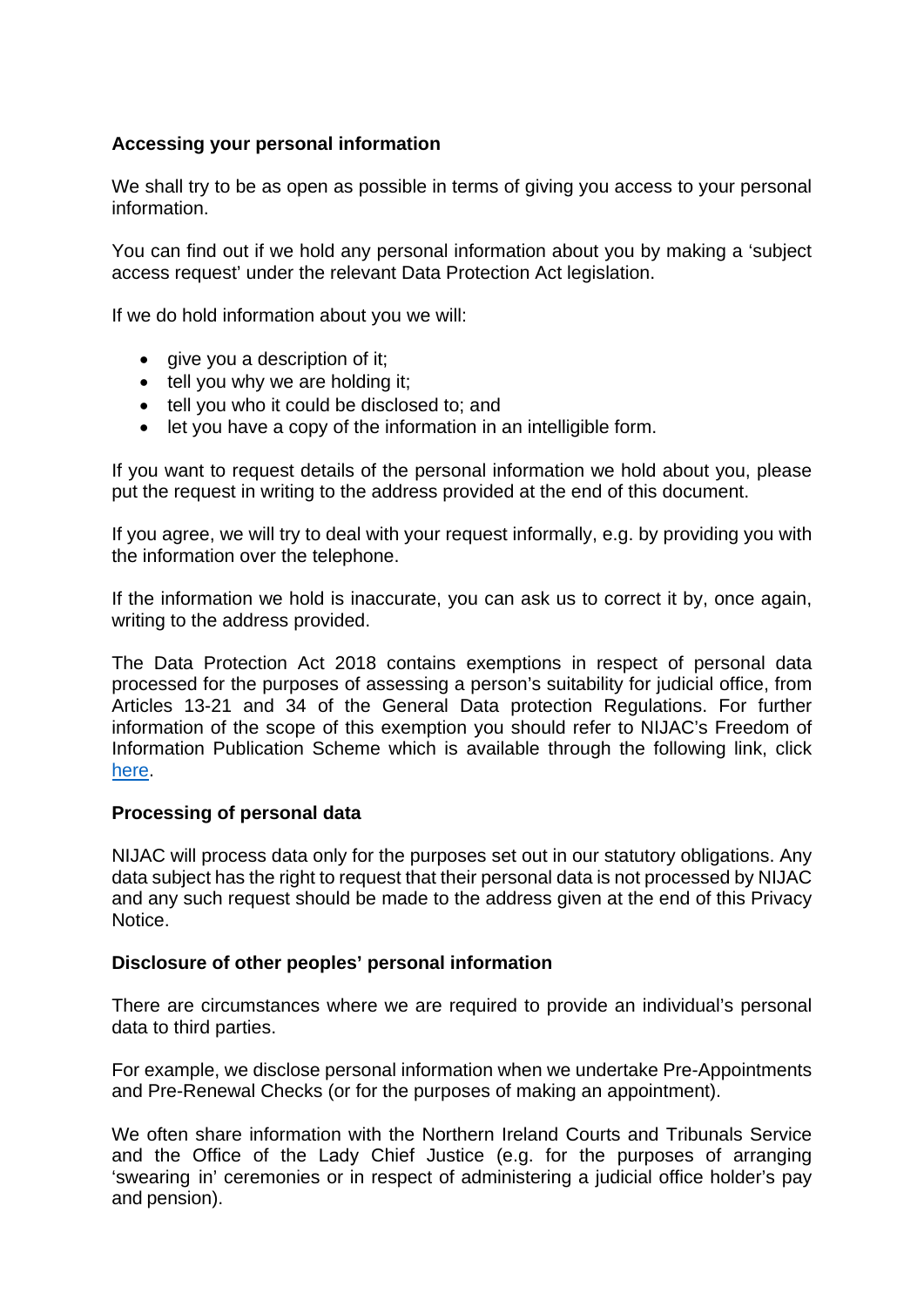## **Accessing your personal information**

We shall try to be as open as possible in terms of giving you access to your personal information.

You can find out if we hold any personal information about you by making a 'subject access request' under the relevant Data Protection Act legislation.

If we do hold information about you we will:

- $\bullet$  give you a description of it;
- $\bullet$  tell you why we are holding it;
- tell you who it could be disclosed to; and
- let you have a copy of the information in an intelligible form.

If you want to request details of the personal information we hold about you, please put the request in writing to the address provided at the end of this document.

If you agree, we will try to deal with your request informally, e.g. by providing you with the information over the telephone.

If the information we hold is inaccurate, you can ask us to correct it by, once again, writing to the address provided.

The Data Protection Act 2018 contains exemptions in respect of personal data processed for the purposes of assessing a person's suitability for judicial office, from Articles 13-21 and 34 of the General Data protection Regulations. For further information of the scope of this exemption you should refer to NIJAC's Freedom of Information Publication Scheme which is available through the following link, click [here.](https://www.nijac.gov.uk/sites/nijac/files/media-files/NIJAC%20Publication%20Scheme%206%2011%202018.pdf)

#### **Processing of personal data**

NIJAC will process data only for the purposes set out in our statutory obligations. Any data subject has the right to request that their personal data is not processed by NIJAC and any such request should be made to the address given at the end of this Privacy Notice.

## **Disclosure of other peoples' personal information**

There are circumstances where we are required to provide an individual's personal data to third parties.

For example, we disclose personal information when we undertake Pre-Appointments and Pre-Renewal Checks (or for the purposes of making an appointment).

We often share information with the Northern Ireland Courts and Tribunals Service and the Office of the Lady Chief Justice (e.g. for the purposes of arranging 'swearing in' ceremonies or in respect of administering a judicial office holder's pay and pension).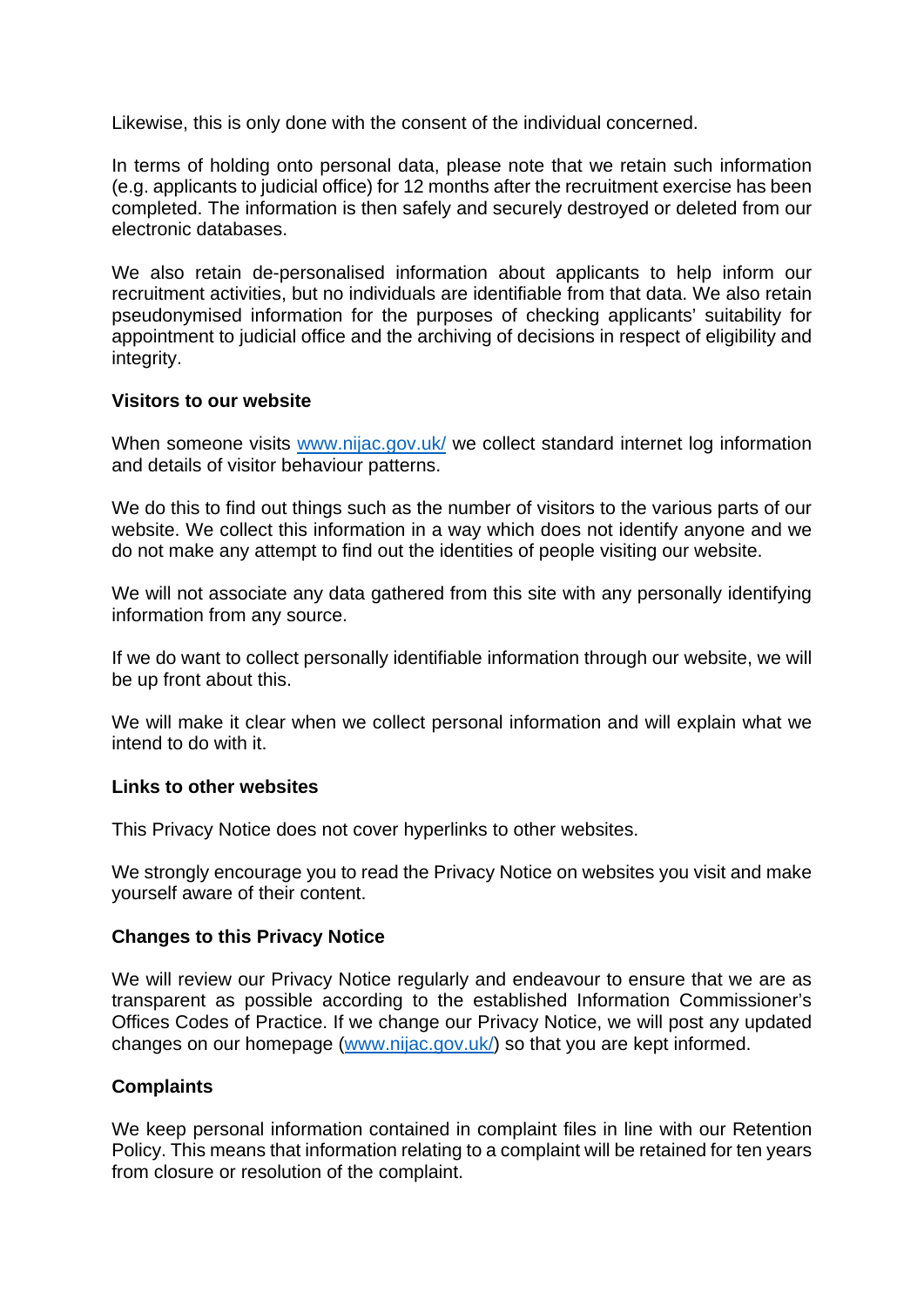Likewise, this is only done with the consent of the individual concerned.

In terms of holding onto personal data, please note that we retain such information (e.g. applicants to judicial office) for 12 months after the recruitment exercise has been completed. The information is then safely and securely destroyed or deleted from our electronic databases.

We also retain de-personalised information about applicants to help inform our recruitment activities, but no individuals are identifiable from that data. We also retain pseudonymised information for the purposes of checking applicants' suitability for appointment to judicial office and the archiving of decisions in respect of eligibility and integrity.

#### **Visitors to our website**

When someone visits [www.nijac.gov.uk/](http://www.nijac.gov.uk/) we collect standard internet log information and details of visitor behaviour patterns.

We do this to find out things such as the number of visitors to the various parts of our website. We collect this information in a way which does not identify anyone and we do not make any attempt to find out the identities of people visiting our website.

We will not associate any data gathered from this site with any personally identifying information from any source.

If we do want to collect personally identifiable information through our website, we will be up front about this.

We will make it clear when we collect personal information and will explain what we intend to do with it.

#### **Links to other websites**

This Privacy Notice does not cover hyperlinks to other websites.

We strongly encourage you to read the Privacy Notice on websites you visit and make yourself aware of their content.

#### **Changes to this Privacy Notice**

We will review our Privacy Notice regularly and endeavour to ensure that we are as transparent as possible according to the established Information Commissioner's Offices Codes of Practice. If we change our Privacy Notice, we will post any updated changes on our homepage [\(www.nijac.gov.uk/\)](http://www.nijac.gov.uk/) so that you are kept informed.

## **Complaints**

We keep personal information contained in complaint files in line with our Retention Policy. This means that information relating to a complaint will be retained for ten years from closure or resolution of the complaint.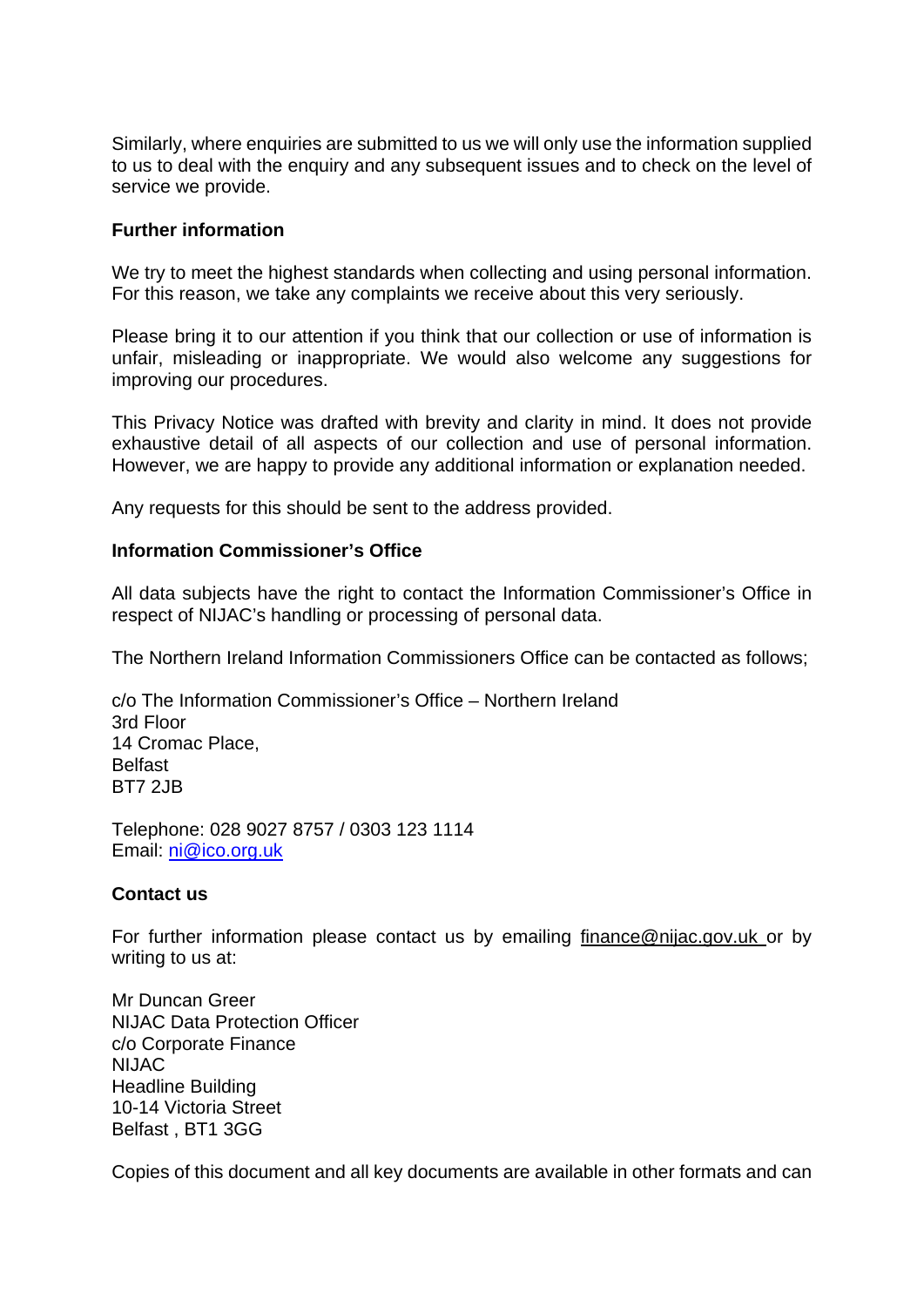Similarly, where enquiries are submitted to us we will only use the information supplied to us to deal with the enquiry and any subsequent issues and to check on the level of service we provide.

### **Further information**

We try to meet the highest standards when collecting and using personal information. For this reason, we take any complaints we receive about this very seriously.

Please bring it to our attention if you think that our collection or use of information is unfair, misleading or inappropriate. We would also welcome any suggestions for improving our procedures.

This Privacy Notice was drafted with brevity and clarity in mind. It does not provide exhaustive detail of all aspects of our collection and use of personal information. However, we are happy to provide any additional information or explanation needed.

Any requests for this should be sent to the address provided.

#### **Information Commissioner's Office**

All data subjects have the right to contact the Information Commissioner's Office in respect of NIJAC's handling or processing of personal data.

The Northern Ireland Information Commissioners Office can be contacted as follows;

c/o The Information Commissioner's Office – Northern Ireland 3rd Floor 14 Cromac Place, **Belfast** BT7 2JB

Telephone: 028 9027 8757 / 0303 123 1114 Email: [ni@ico.org.uk](mailto:ni@ico.org.uk)

#### **Contact us**

For further information please contact us by emailing [finance@nijac.gov.uk o](mailto:finance@nijac.gov.uk)r by writing to us at:

Mr Duncan Greer NIJAC Data Protection Officer c/o Corporate Finance NIJAC Headline Building 10-14 Victoria Street Belfast , BT1 3GG

Copies of this document and all key documents are available in other formats and can